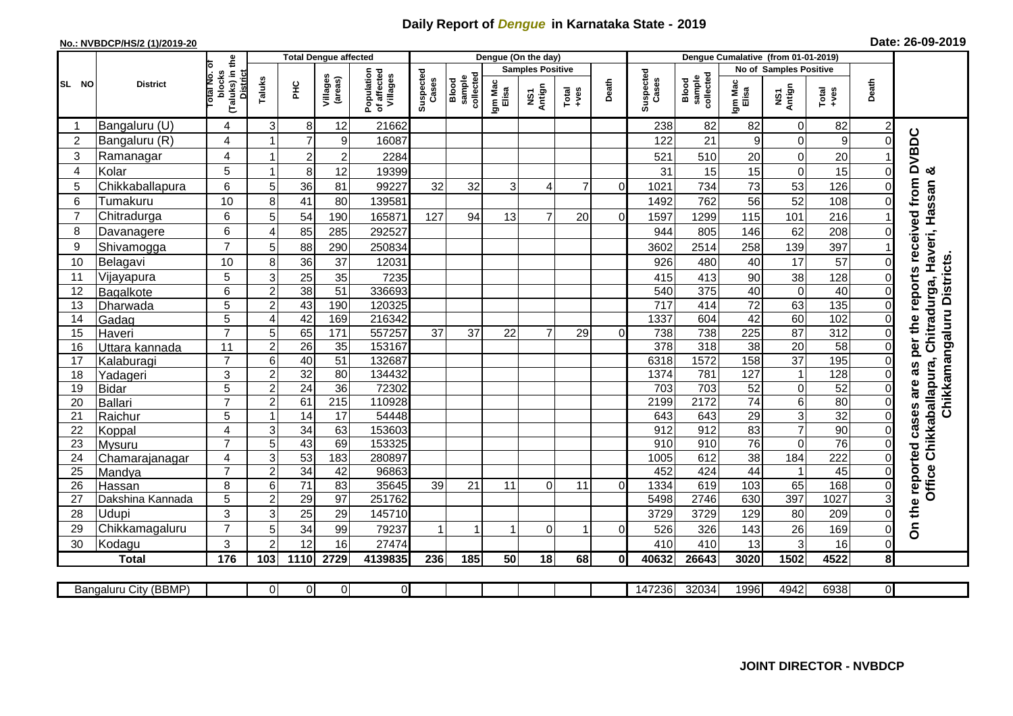## **Daily Report of** *Dengue* **in Karnataka State - 2019**

## **No.: NVBDCP/HS/2 (1)/2019-20 Date: 26-09-2019**

|                |                           |                                                   | <b>Total Dengue affected</b> |                       |                     |                                       |                    |                              |                         | Dengue (On the day) |                |                |                    |                              |                               |                 |               |                            |                                     |
|----------------|---------------------------|---------------------------------------------------|------------------------------|-----------------------|---------------------|---------------------------------------|--------------------|------------------------------|-------------------------|---------------------|----------------|----------------|--------------------|------------------------------|-------------------------------|-----------------|---------------|----------------------------|-------------------------------------|
|                |                           | ō                                                 |                              |                       |                     |                                       |                    |                              | <b>Samples Positive</b> |                     |                |                |                    |                              | <b>No of Samples Positive</b> |                 |               |                            |                                     |
| SL NO          | <b>District</b>           | (Taluks) in the<br>District<br>blocks<br>otal No. | Taluks                       | <b>PHC</b>            | Villages<br>(areas) | Population<br>of affected<br>Villages | Suspected<br>Cases | sample<br>collected<br>Blood | Igm Mac<br>Elisa        | Antign<br>NS7       | Total<br>+ves  | Death          | Suspected<br>Cases | sample<br>collected<br>Blood | Igm Mac<br>Elisa              | NS1<br>Antign   | Total<br>+ves | Death                      |                                     |
|                | Bangaluru (U)             | 4                                                 | 3                            | $\bf 8$               | 12                  | 21662                                 |                    |                              |                         |                     |                |                | 238                | 82                           | 82                            | $\overline{0}$  | 82            | 2                          |                                     |
| $\overline{c}$ | Bangaluru (R)             | 4                                                 | 1                            | $\overline{7}$        | 9                   | 16087                                 |                    |                              |                         |                     |                |                | 122                | 21                           | 9                             | $\overline{0}$  | 9             | $\Omega$                   | per the reports received from DVBDC |
| 3              | Ramanagar                 | 4                                                 | 1                            | $\boldsymbol{2}$      | $\overline{2}$      | 2284                                  |                    |                              |                         |                     |                |                | 521                | 510                          | 20                            | 0               | 20            |                            |                                     |
| 4              | Kolar                     | 5                                                 | $\mathbf 1$                  | $\bf8$                | 12                  | 19399                                 |                    |                              |                         |                     |                |                | 31                 | 15                           | 15                            | $\mathbf 0$     | 15            | $\overline{0}$             | య                                   |
| 5              | Chikkaballapura           | $6\phantom{1}$                                    | 5                            | 36                    | 81                  | 99227                                 | 32                 | 32                           | 3                       | 4                   | $\overline{7}$ | $\Omega$       | 1021               | 734                          | 73                            | 53              | 126           | ΟI                         |                                     |
| 6              | Tumakuru                  | 10                                                | 8                            | 41                    | 80                  | 139581                                |                    |                              |                         |                     |                |                | 1492               | 762                          | 56                            | 52              | 108           | ΩI                         |                                     |
| $\overline{7}$ | Chitradurga               | 6                                                 | 5                            | 54                    | 190                 | 165871                                | 127                | 94                           | 13                      | $\overline{7}$      | 20             | $\overline{0}$ | 1597               | 1299                         | 115                           | 101             | 216           |                            | Haveri, Hassan                      |
| 8              | Davanagere                | $6\phantom{1}$                                    | $\boldsymbol{\Delta}$        | 85                    | 285                 | 292527                                |                    |                              |                         |                     |                |                | 944                | 805                          | 146                           | 62              | 208           | $\Omega$                   |                                     |
| 9              | Shivamogga                | $\overline{7}$                                    | 5                            | 88                    | 290                 | 250834                                |                    |                              |                         |                     |                |                | 3602               | 2514                         | 258                           | 139             | 397           |                            |                                     |
| 10             | Belagavi                  | 10                                                | 8                            | 36                    | 37                  | 12031                                 |                    |                              |                         |                     |                |                | 926                | 480                          | 40                            | 17              | 57            | $\overline{0}$             | Chikkamangaluru Districts           |
| 11             | Vijayapura                | 5                                                 | 3                            | $\overline{25}$       | 35                  | 7235                                  |                    |                              |                         |                     |                |                | 415                | 413                          | 90                            | 38              | 128           | $\Omega$                   |                                     |
| 12             | Bagalkote                 | $6\phantom{1}$                                    | $\overline{c}$               | 38                    | 51                  | 336693                                |                    |                              |                         |                     |                |                | 540                | 375                          | 40                            | $\overline{0}$  | 40            | $\overline{0}$             | Chitradurga,                        |
| 13             | Dharwada                  | 5                                                 | $\overline{c}$               | 43                    | 190                 | 120325                                |                    |                              |                         |                     |                |                | $\overline{717}$   | 414                          | $\overline{72}$               | 63              | 135           | $\overline{0}$             |                                     |
| 14             | Gadag                     | $\overline{5}$                                    | $\overline{4}$               | 42                    | 169                 | 216342                                |                    |                              |                         |                     |                |                | 1337               | 604                          | 42                            | 60              | 102           | $\overline{0}$             |                                     |
| 15             | Haveri                    | $\overline{7}$                                    | 5                            | 65                    | 171                 | 557257                                | 37                 | 37                           | 22                      | $\overline{7}$      | 29             | $\Omega$       | 738                | 738                          | 225                           | 87              | 312           | $\overline{0}$             |                                     |
| 16             | Uttara kannada            | 11                                                | $\overline{c}$               | $\overline{26}$       | 35                  | 153167                                |                    |                              |                         |                     |                |                | $\overline{378}$   | $\overline{318}$             | $\overline{38}$               | $\overline{20}$ | 58            | $\Omega$                   |                                     |
| 17             | Kalaburagi                | $\overline{7}$                                    | 6                            | 40                    | $\overline{51}$     | 132687                                |                    |                              |                         |                     |                |                | 6318               | 1572                         | 158                           | $\overline{37}$ | 195           | 0                          | 8g                                  |
| 18             | Yadageri                  | 3                                                 | $\overline{c}$               | 32                    | 80                  | 134432                                |                    |                              |                         |                     |                |                | 1374               | 781                          | 127                           | $\mathbf{1}$    | 128           |                            |                                     |
| 19             | <b>Bidar</b>              | 5                                                 | $\overline{c}$               | $\overline{24}$       | $\overline{36}$     | 72302                                 |                    |                              |                         |                     |                |                | 703                | 703                          | 52                            | $\overline{0}$  | 52            | $\Omega$                   | are                                 |
| 20             | <b>Ballari</b>            | $\overline{7}$                                    | $\overline{2}$               | 61                    | $\overline{215}$    | 110928                                |                    |                              |                         |                     |                |                | 2199               | 2172                         | 74                            | 6               | 80            | $\Omega$                   |                                     |
| 21             | Raichur                   | 5                                                 | $\mathbf 1$                  | 14                    | 17                  | 54448                                 |                    |                              |                         |                     |                |                | 643                | 643                          | 29                            | 3 <sup>1</sup>  | 32            | $\overline{0}$             | Office Chikkaballapura,             |
| 22             | Koppal                    | $\overline{4}$                                    | 3                            | 34                    | 63                  | 153603                                |                    |                              |                         |                     |                |                | 912                | 912                          | 83                            | $\overline{7}$  | 90            | $\overline{0}$             |                                     |
| 23             | <b>Mysuru</b>             | $\overline{7}$                                    | $\overline{5}$               | 43                    | 69                  | 153325                                |                    |                              |                         |                     |                |                | 910                | 910                          | 76                            | 0               | 76            | $\overline{0}$             |                                     |
| 24             | Chamarajanagar            | 4<br>$\overline{7}$                               | 3                            | 53                    | 183                 | 280897                                |                    |                              |                         |                     |                |                | 1005               | 612                          | $\overline{38}$               | 184             | 222           | $\overline{0}$             |                                     |
| 25             | Mandya                    |                                                   | $\overline{2}$               | 34                    | 42                  | 96863                                 |                    |                              |                         |                     |                |                | 452                | 424                          | $\overline{44}$               | $\overline{1}$  | 45            | $\Omega$                   |                                     |
| 26             | Hassan                    | 8                                                 | 6<br>$\overline{c}$          | $\overline{71}$<br>29 | 83<br>97            | 35645<br>251762                       | 39                 | 21                           | 11                      | $\mathbf 0$         | 11             | $\overline{0}$ | 1334<br>5498       | 619<br>2746                  | 103<br>630                    | 65<br>397       | 168<br>1027   | $\overline{0}$<br>3        |                                     |
| 27<br>28       | Dakshina Kannada<br>Udupi | 5<br>3                                            |                              |                       |                     |                                       |                    |                              |                         |                     |                |                |                    |                              |                               |                 |               | $\Omega$                   |                                     |
|                |                           | $\overline{7}$                                    | 3<br>5                       | 25                    | 29                  | 145710                                | 1                  | 1                            | $\overline{1}$          |                     | $\mathbf 1$    |                | 3729               | 3729                         | 129                           | 80              | 209           |                            | On the reported cases               |
| 29<br>30       | Chikkamagaluru<br>Kodagu  | 3                                                 | $\overline{2}$               | 34<br>12              | 99<br>16            | 79237<br>27474                        |                    |                              |                         | $\mathbf 0$         |                | $\overline{0}$ | 526<br>410         | 326<br>410                   | 143<br>13                     | 26<br>3         | 169<br>16     | $\overline{0}$<br>$\Omega$ |                                     |
|                | <b>Total</b>              | 176                                               | 103                          | 1110                  | 2729                | 4139835                               | 236                | 185                          | 50                      | 18                  | 68             | $\mathbf{0}$   | 40632              | 26643                        | 3020                          | 1502            | 4522          | 8 <sup>1</sup>             |                                     |
|                |                           |                                                   |                              |                       |                     |                                       |                    |                              |                         |                     |                |                |                    |                              |                               |                 |               |                            |                                     |
|                | Bangaluru City (BBMP)     |                                                   | $\Omega$                     | $\overline{0}$        | $\overline{0}$      | $\overline{0}$                        |                    |                              |                         |                     |                |                | 147236             | 32034                        | 1996                          | 4942            | 6938          | $\overline{\mathsf{d}}$    |                                     |